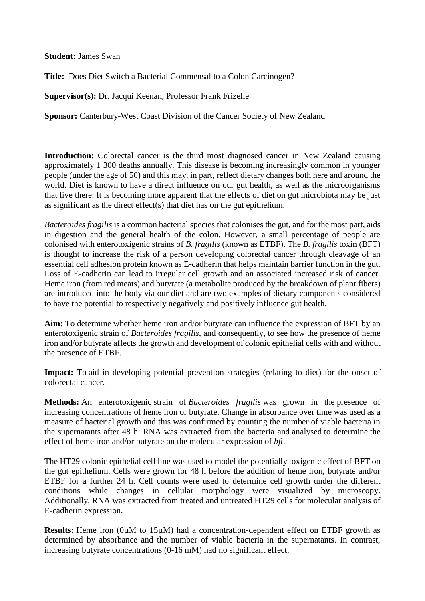**Student:** James Swan

**Title:** Does Diet Switch a Bacterial Commensal to a Colon Carcinogen?

**Supervisor(s):** Dr. Jacqui Keenan, Professor Frank Frizelle

**Sponsor:** Canterbury-West Coast Division of the Cancer Society of New Zealand

**Introduction:** Colorectal cancer is the third most diagnosed cancer in New Zealand causing approximately 1 300 deaths annually. This disease is becoming increasingly common in younger people (under the age of 50) and this may, in part, reflect dietary changes both here and around the world. Diet is known to have a direct influence on our gut health, as well as the microorganisms that live there. It is becoming more apparent that the effects of diet on gut microbiota may be just as significant as the direct effect(s) that diet has on the gut epithelium.

*Bacteroides fragilis* is a common bacterial species that colonises the gut, and for the most part, aids in digestion and the general health of the colon. However, a small percentage of people are colonised with enterotoxigenic strains of *B. fragilis* (known as ETBF). The *B. fragilis* toxin (BFT) is thought to increase the risk of a person developing colorectal cancer through cleavage of an essential cell adhesion protein known as E-cadherin that helps maintain barrier function in the gut. Loss of E-cadherin can lead to irregular cell growth and an associated increased risk of cancer. Heme iron (from red meats) and butyrate (a metabolite produced by the breakdown of plant fibers) are introduced into the body via our diet and are two examples of dietary components considered to have the potential to respectively negatively and positively influence gut health.

**Aim:** To determine whether heme iron and/or butyrate can influence the expression of BFT by an enterotoxigenic strain of *Bacteroides fragilis*, and consequently, to see how the presence of heme iron and/or butyrate affects the growth and development of colonic epithelial cells with and without the presence of ETBF.

Impact: To aid in developing potential prevention strategies (relating to diet) for the onset of colorectal cancer.

**Methods:** An enterotoxigenic strain of *Bacteroides fragilis* was grown in the presence of increasing concentrations of heme iron or butyrate. Change in absorbance over time was used as a measure of bacterial growth and this was confirmed by counting the number of viable bacteria in the supernatants after 48 h. RNA was extracted from the bacteria and analysed to determine the effect of heme iron and/or butyrate on the molecular expression of *bft*.

The HT29 colonic epithelial cell line was used to model the potentially toxigenic effect of BFT on the gut epithelium. Cells were grown for 48 h before the addition of heme iron, butyrate and/or ETBF for a further 24 h. Cell counts were used to determine cell growth under the different conditions while changes in cellular morphology were visualized by microscopy. Additionally, RNA was extracted from treated and untreated HT29 cells for molecular analysis of E-cadherin expression.

**Results:** Heme iron (0µM to 15µM) had a concentration-dependent effect on ETBF growth as determined by absorbance and the number of viable bacteria in the supernatants. In contrast, increasing butyrate concentrations (0-16 mM) had no significant effect.